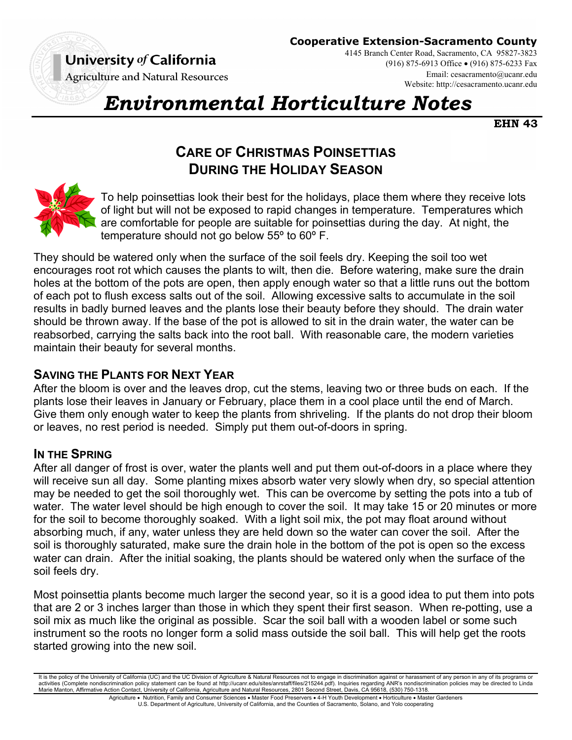

**Cooperative Extension-Sacramento County**

**Agriculture and Natural Resources** 

4145 Branch Center Road, Sacramento, CA 95827-3823 (916) 875-6913 Office (916) 875-6233 Fax Email: cesacramento@ucanr.edu Website: http://cesacramento.ucanr.edu

# *Environmental Horticulture Notes*

**EHN 43** 

# **CARE OF CHRISTMAS POINSETTIAS DURING THE HOLIDAY SEASON**



To help poinsettias look their best for the holidays, place them where they receive lots of light but will not be exposed to rapid changes in temperature. Temperatures which are comfortable for people are suitable for poinsettias during the day. At night, the temperature should not go below 55º to 60º F.

They should be watered only when the surface of the soil feels dry. Keeping the soil too wet encourages root rot which causes the plants to wilt, then die. Before watering, make sure the drain holes at the bottom of the pots are open, then apply enough water so that a little runs out the bottom of each pot to flush excess salts out of the soil. Allowing excessive salts to accumulate in the soil results in badly burned leaves and the plants lose their beauty before they should. The drain water should be thrown away. If the base of the pot is allowed to sit in the drain water, the water can be reabsorbed, carrying the salts back into the root ball. With reasonable care, the modern varieties maintain their beauty for several months.

# **SAVING THE PLANTS FOR NEXT YEAR**

After the bloom is over and the leaves drop, cut the stems, leaving two or three buds on each. If the plants lose their leaves in January or February, place them in a cool place until the end of March. Give them only enough water to keep the plants from shriveling. If the plants do not drop their bloom or leaves, no rest period is needed. Simply put them out-of-doors in spring.

## **IN THE SPRING**

After all danger of frost is over, water the plants well and put them out-of-doors in a place where they will receive sun all day. Some planting mixes absorb water very slowly when dry, so special attention may be needed to get the soil thoroughly wet. This can be overcome by setting the pots into a tub of water. The water level should be high enough to cover the soil. It may take 15 or 20 minutes or more for the soil to become thoroughly soaked. With a light soil mix, the pot may float around without absorbing much, if any, water unless they are held down so the water can cover the soil. After the soil is thoroughly saturated, make sure the drain hole in the bottom of the pot is open so the excess water can drain. After the initial soaking, the plants should be watered only when the surface of the soil feels dry.

Most poinsettia plants become much larger the second year, so it is a good idea to put them into pots that are 2 or 3 inches larger than those in which they spent their first season. When re-potting, use a soil mix as much like the original as possible. Scar the soil ball with a wooden label or some such instrument so the roots no longer form a solid mass outside the soil ball. This will help get the roots started growing into the new soil.

Agriculture . Nutrition, Family and Consumer Sciences . Master Food Preservers . 4-H Youth Development . Horticulture . Master Gardeners U.S. Department of Agriculture, University of California, and the Counties of Sacramento, Solano, and Yolo cooperating

It is the nolicy of the University of California (UC) and the UC Division of Agriculture & Natural Resources not to engage in discrimination against or harassment of any person in any of its programs or activities (Complete nondiscrimination policy statement can be found at http://ucanr.edu/sites/anrstaff/files/215244.pdf). Inquiries regarding ANR's nondiscrimination policies may be directed to Linda Marie Manton, Affirmative Action Contact, University of California, Agriculture and Natural Resources, 2801 Second Street, Davis, CA 95618, (530) 750-1318.